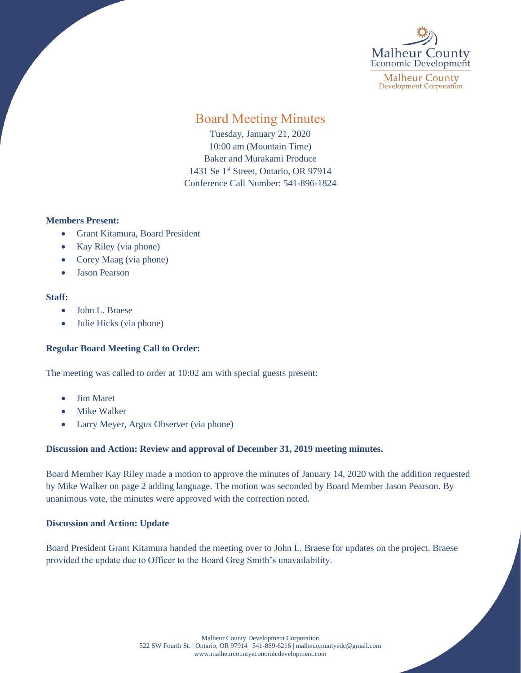

**Malheur County Development Corporation** 

# Board Meeting Minutes

Tuesday, January 21, 2020 10:00 am (Mountain Time) Baker and Murakami Produce 1431 Se 1<sup>st</sup> Street, Ontario, OR 97914 Conference Call Number: 541-896-1824

## **Members Present:**

- Grant Kitamura, Board President
- Kay Riley (via phone)
- Corey Maag (via phone)
- Jason Pearson

## **Staff:**

- John L. Braese
- Julie Hicks (via phone)

## **Regular Board Meeting Call to Order:**

The meeting was called to order at 10:02 am with special guests present:

- Jim Maret
- Mike Walker
- Larry Meyer, Argus Observer (via phone)

## **Discussion and Action: Review and approval of December 31, 2019 meeting minutes.**

Board Member Kay Riley made a motion to approve the minutes of January 14, 2020 with the addition requested by Mike Walker on page 2 adding language. The motion was seconded by Board Member Jason Pearson. By unanimous vote, the minutes were approved with the correction noted.

## **Discussion and Action: Update**

Board President Grant Kitamura handed the meeting over to John L. Braese for updates on the project. Braese provided the update due to Officer to the Board Greg Smith's unavailability.